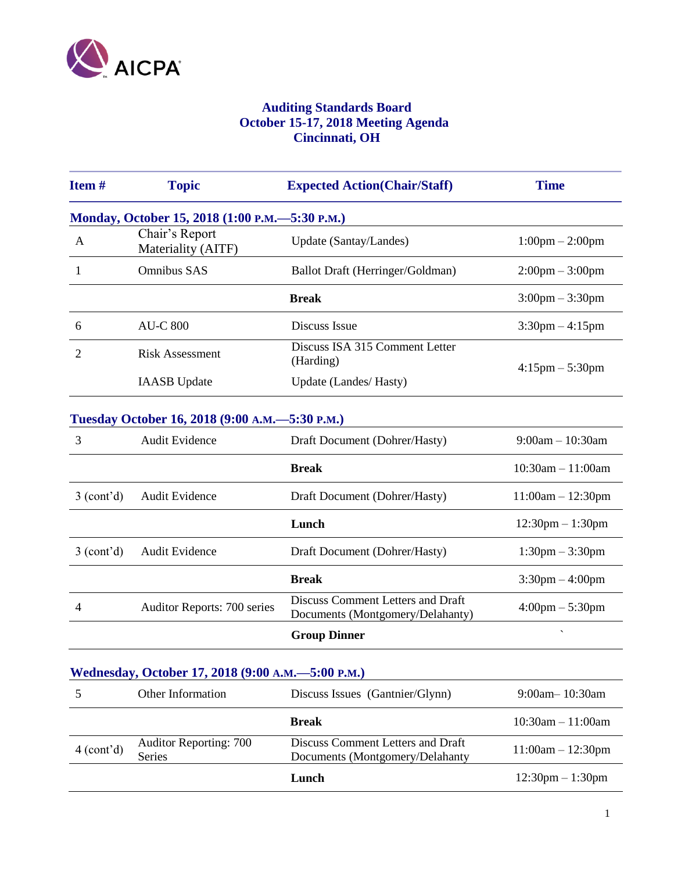

## **Auditing Standards Board October 15-17, 2018 Meeting Agenda Cincinnati, OH**

| Item#                   | <b>Topic</b>                                      | <b>Expected Action(Chair/Staff)</b>                                   | <b>Time</b>                        |
|-------------------------|---------------------------------------------------|-----------------------------------------------------------------------|------------------------------------|
|                         | Monday, October 15, 2018 (1:00 P.M. - 5:30 P.M.)  |                                                                       |                                    |
| A                       | Chair's Report<br>Materiality (AITF)              | Update (Santay/Landes)                                                | $1:00 \text{pm} - 2:00 \text{pm}$  |
| 1                       | <b>Omnibus SAS</b>                                | Ballot Draft (Herringer/Goldman)                                      | $2:00 \text{pm} - 3:00 \text{pm}$  |
|                         |                                                   | <b>Break</b>                                                          | $3:00 \text{pm} - 3:30 \text{pm}$  |
| 6                       | <b>AU-C 800</b>                                   | Discuss Issue                                                         | $3:30$ pm $-4:15$ pm               |
| 2                       | <b>Risk Assessment</b>                            | Discuss ISA 315 Comment Letter<br>(Harding)                           | $4:15 \text{pm} - 5:30 \text{pm}$  |
|                         | <b>IAASB</b> Update                               | Update (Landes/ Hasty)                                                |                                    |
|                         | Tuesday October 16, 2018 (9:00 A.M.-              | $-5:30$ P.M.)                                                         |                                    |
| $\mathfrak{Z}$          | <b>Audit Evidence</b>                             | Draft Document (Dohrer/Hasty)                                         | $9:00am - 10:30am$                 |
|                         |                                                   | <b>Break</b>                                                          | $10:30am - 11:00am$                |
| 3 (cont <sup>2</sup> d) | <b>Audit Evidence</b>                             | Draft Document (Dohrer/Hasty)                                         | $11:00am - 12:30pm$                |
|                         |                                                   | Lunch                                                                 | $12:30 \text{pm} - 1:30 \text{pm}$ |
| 3 (cont'd)              | <b>Audit Evidence</b>                             | Draft Document (Dohrer/Hasty)                                         | $1:30 \text{pm} - 3:30 \text{pm}$  |
|                         |                                                   | <b>Break</b>                                                          | $3:30 \text{pm} - 4:00 \text{pm}$  |
| $\overline{4}$          | Auditor Reports: 700 series                       | Discuss Comment Letters and Draft<br>Documents (Montgomery/Delahanty) | $4:00 \text{pm} - 5:30 \text{pm}$  |
|                         |                                                   | <b>Group Dinner</b>                                                   |                                    |
|                         | Wednesday, October 17, 2018 (9:00 A.M.-5:00 P.M.) |                                                                       |                                    |
| 5                       | Other Information                                 | Discuss Issues (Gantnier/Glynn)                                       | 9:00am-10:30am                     |
|                         |                                                   | <b>Break</b>                                                          | $10:30am - 11:00am$                |
| 4 (cont <sup>2</sup> d) | <b>Auditor Reporting: 700</b><br>Series           | Discuss Comment Letters and Draft<br>Documents (Montgomery/Delahanty  | $11:00am - 12:30pm$                |
|                         |                                                   | Lunch                                                                 | $12:30$ pm $-1:30$ pm              |